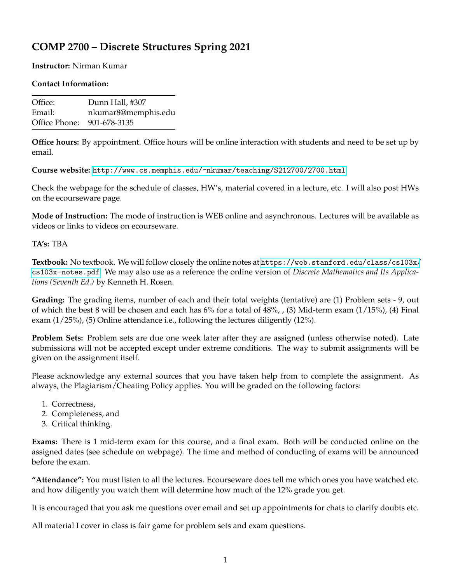## **COMP 2700 – Discrete Structures Spring 2021**

## **Instructor:** Nirman Kumar

## **Contact Information:**

| Office:                    | Dunn Hall, #307     |
|----------------------------|---------------------|
| Email:                     | nkumar8@memphis.edu |
| Office Phone: 901-678-3135 |                     |

**Office hours:** By appointment. Office hours will be online interaction with students and need to be set up by email.

**Course website:** <http://www.cs.memphis.edu/~nkumar/teaching/S212700/2700.html>

Check the webpage for the schedule of classes, HW's, material covered in a lecture, etc. I will also post HWs on the ecourseware page.

**Mode of Instruction:** The mode of instruction is WEB online and asynchronous. Lectures will be available as videos or links to videos on ecourseware.

## **TA's:** TBA

**Textbook:** No textbook. We will follow closely the online notes at [https://web.stanford.edu/class/cs103x/](https://web.stanford.edu/class/cs103x/cs103x-notes.pdf) [cs103x-notes.pdf](https://web.stanford.edu/class/cs103x/cs103x-notes.pdf). We may also use as a reference the online version of *Discrete Mathematics and Its Applications (Seventh Ed.)* by Kenneth H. Rosen.

**Grading:** The grading items, number of each and their total weights (tentative) are (1) Problem sets - 9, out of which the best 8 will be chosen and each has 6% for a total of 48%, , (3) Mid-term exam (1/15%), (4) Final exam (1/25%), (5) Online attendance i.e., following the lectures diligently (12%).

**Problem Sets:** Problem sets are due one week later after they are assigned (unless otherwise noted). Late submissions will not be accepted except under extreme conditions. The way to submit assignments will be given on the assignment itself.

Please acknowledge any external sources that you have taken help from to complete the assignment. As always, the Plagiarism/Cheating Policy applies. You will be graded on the following factors:

- 1. Correctness,
- 2. Completeness, and
- 3. Critical thinking.

**Exams:** There is 1 mid-term exam for this course, and a final exam. Both will be conducted online on the assigned dates (see schedule on webpage). The time and method of conducting of exams will be announced before the exam.

**"Attendance":** You must listen to all the lectures. Ecourseware does tell me which ones you have watched etc. and how diligently you watch them will determine how much of the 12% grade you get.

It is encouraged that you ask me questions over email and set up appointments for chats to clarify doubts etc.

All material I cover in class is fair game for problem sets and exam questions.